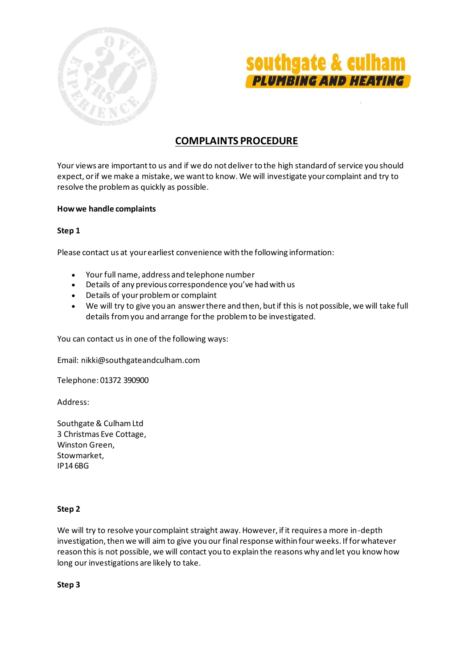



## **COMPLAINTS PROCEDURE**

Your views are important to us and if we do not deliver to the high standard of service you should expect, or if we make a mistake, we want to know. We will investigate your complaint and try to resolve the problem as quickly as possible.

## **How we handle complaints**

## **Step 1**

Please contact us at your earliest convenience with the following information:

- Your full name, address and telephone number
- Details of any previous correspondence you've had with us
- Details of your problem or complaint
- We will try to give you an answer there and then, but if this is not possible, we will take full details from you and arrange for the problem to be investigated.

You can contact us in one of the following ways:

Email: nikki@southgateandculham.com

Telephone: 01372 390900

Address:

Southgate & Culham Ltd 3 Christmas Eve Cottage, Winston Green, Stowmarket, IP14 6BG

## **Step 2**

We will try to resolve your complaint straight away. However, if it requires a more in-depth investigation, then we will aim to give you our final response within four weeks. If for whatever reason this is not possible, we will contact you to explain the reasons why and let you know how long our investigations are likely to take.

**Step 3**